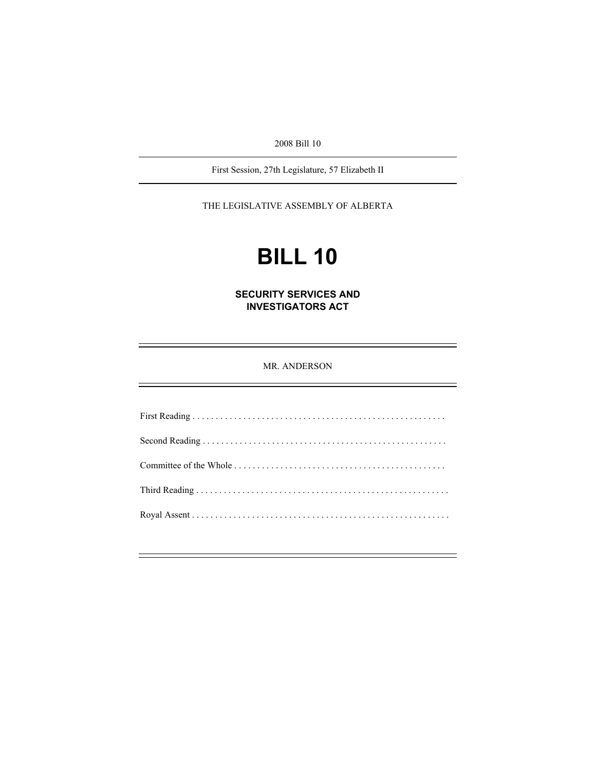2008 Bill 10

First Session, 27th Legislature, 57 Elizabeth II

THE LEGISLATIVE ASSEMBLY OF ALBERTA

# **BILL 10**

**SECURITY SERVICES AND INVESTIGATORS ACT** 

MR. ANDERSON

First Reading . . . . . . . . . . . . . . . . . . . . . . . . . . . . . . . . . . . . . . . . . . . . . . . . . . . . . . . Second Reading . . . . . . . . . . . . . . . . . . . . . . . . . . . . . . . . . . . . . . . . . . . . . . . . . . . . . Committee of the Whole . . . . . . . . . . . . . . . . . . . . . . . . . . . . . . . . . . . . . . . . . . . . . . Third Reading . . . . . . . . . . . . . . . . . . . . . . . . . . . . . . . . . . . . . . . . . . . . . . . . . . . . . . . Royal Assent . . . . . . . . . . . . . . . . . . . . . . . . . . . . . . . . . . . . . . . . . . . . . . . . . . . . . . . .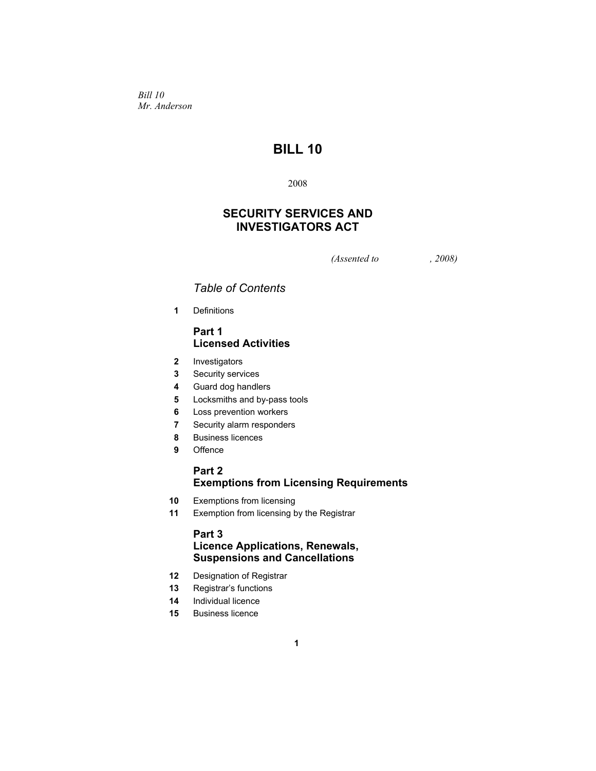*Bill 10 Mr. Anderson* 

# **BILL 10**

2008

# **SECURITY SERVICES AND INVESTIGATORS ACT**

*(Assented to , 2008)* 

# *Table of Contents*

**1** Definitions

## **Part 1 Licensed Activities**

- **2** Investigators
- **3** Security services
- **4** Guard dog handlers
- **5** Locksmiths and by-pass tools
- **6** Loss prevention workers
- **7** Security alarm responders
- **8** Business licences
- **9** Offence

## **Part 2 Exemptions from Licensing Requirements**

- **10** Exemptions from licensing
- **11** Exemption from licensing by the Registrar

## **Part 3 Licence Applications, Renewals, Suspensions and Cancellations**

- **12** Designation of Registrar
- **13** Registrar's functions
- **14** Individual licence
- **15** Business licence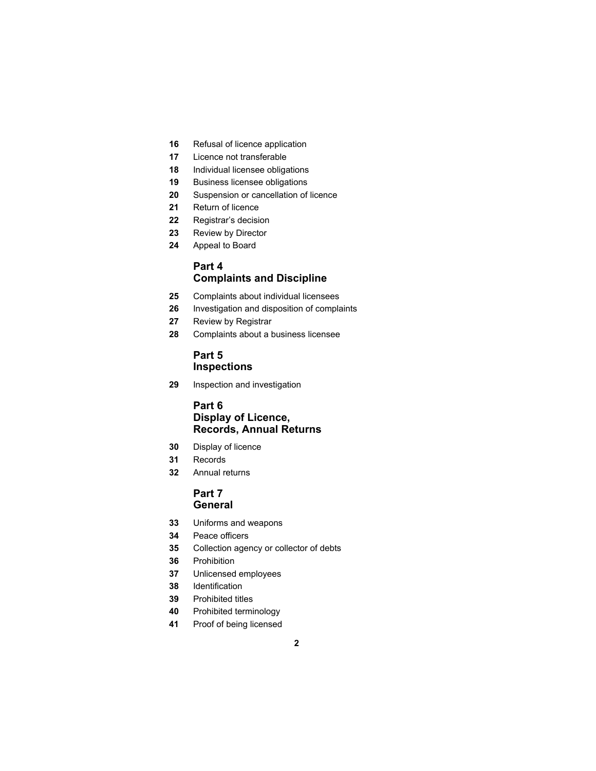- Refusal of licence application
- Licence not transferable
- Individual licensee obligations
- Business licensee obligations
- Suspension or cancellation of licence
- Return of licence
- Registrar's decision
- Review by Director
- Appeal to Board

# **Part 4 Complaints and Discipline**

- Complaints about individual licensees
- Investigation and disposition of complaints
- Review by Registrar
- Complaints about a business licensee

## **Part 5 Inspections**

Inspection and investigation

## **Part 6 Display of Licence, Records, Annual Returns**

- Display of licence
- Records
- Annual returns

## **Part 7 General**

- Uniforms and weapons
- Peace officers
- Collection agency or collector of debts
- Prohibition
- Unlicensed employees
- Identification
- Prohibited titles
- Prohibited terminology
- Proof of being licensed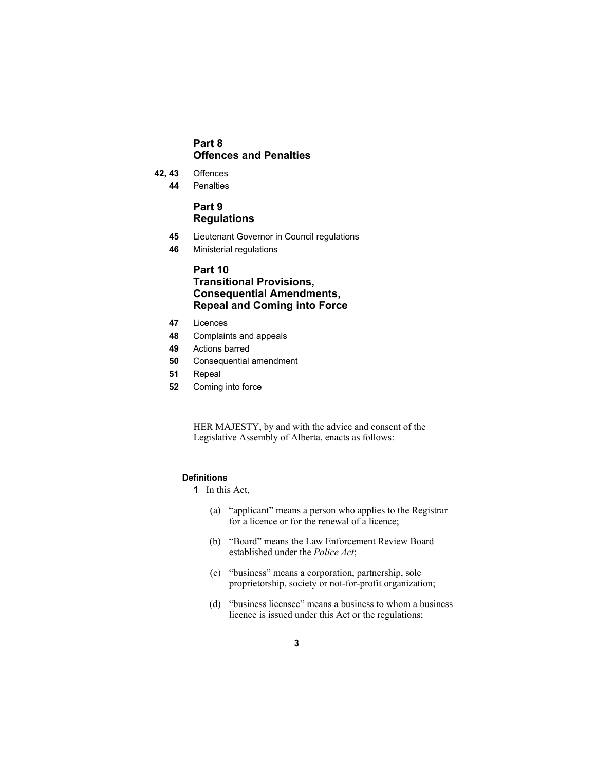## **Part 8 Offences and Penalties**

- **42, 43** Offences
	- **44** Penalties

## **Part 9 Regulations**

- **45** Lieutenant Governor in Council regulations
- **46** Ministerial regulations

## **Part 10 Transitional Provisions, Consequential Amendments, Repeal and Coming into Force**

- **47** Licences
- **48** Complaints and appeals
- **49** Actions barred
- **50** Consequential amendment
- **51** Repeal
- **52** Coming into force

HER MAJESTY, by and with the advice and consent of the Legislative Assembly of Alberta, enacts as follows:

## **Definitions**

- **1** In this Act,
	- (a) "applicant" means a person who applies to the Registrar for a licence or for the renewal of a licence;
	- (b) "Board" means the Law Enforcement Review Board established under the *Police Act*;
	- (c) "business" means a corporation, partnership, sole proprietorship, society or not-for-profit organization;
	- (d) "business licensee" means a business to whom a business licence is issued under this Act or the regulations;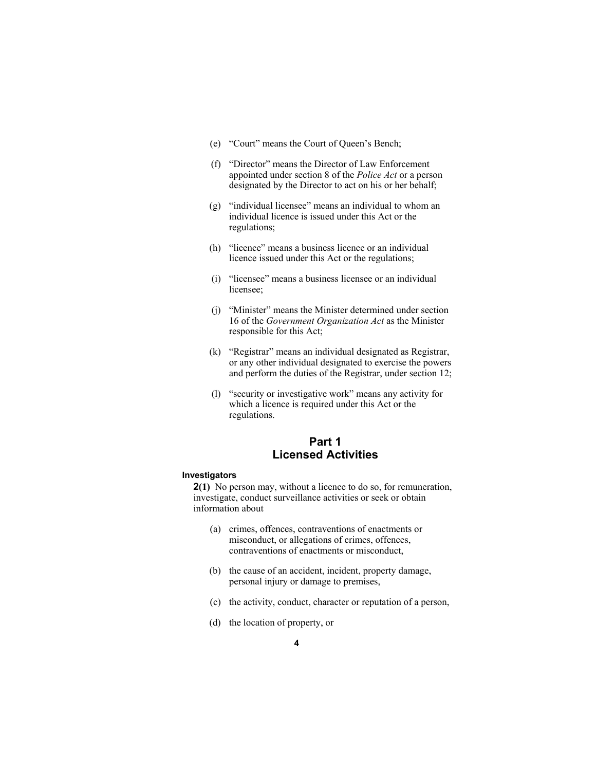- (e) "Court" means the Court of Queen's Bench;
- (f) "Director" means the Director of Law Enforcement appointed under section 8 of the *Police Act* or a person designated by the Director to act on his or her behalf;
- (g) "individual licensee" means an individual to whom an individual licence is issued under this Act or the regulations;
- (h) "licence" means a business licence or an individual licence issued under this Act or the regulations;
- (i) "licensee" means a business licensee or an individual licensee;
- (j) "Minister" means the Minister determined under section 16 of the *Government Organization Act* as the Minister responsible for this Act;
- (k) "Registrar" means an individual designated as Registrar, or any other individual designated to exercise the powers and perform the duties of the Registrar, under section 12;
- (l) "security or investigative work" means any activity for which a licence is required under this Act or the regulations.

# **Part 1 Licensed Activities**

#### **Investigators**

**2(1)** No person may, without a licence to do so, for remuneration, investigate, conduct surveillance activities or seek or obtain information about

- (a) crimes, offences, contraventions of enactments or misconduct, or allegations of crimes, offences, contraventions of enactments or misconduct,
- (b) the cause of an accident, incident, property damage, personal injury or damage to premises,
- (c) the activity, conduct, character or reputation of a person,
- (d) the location of property, or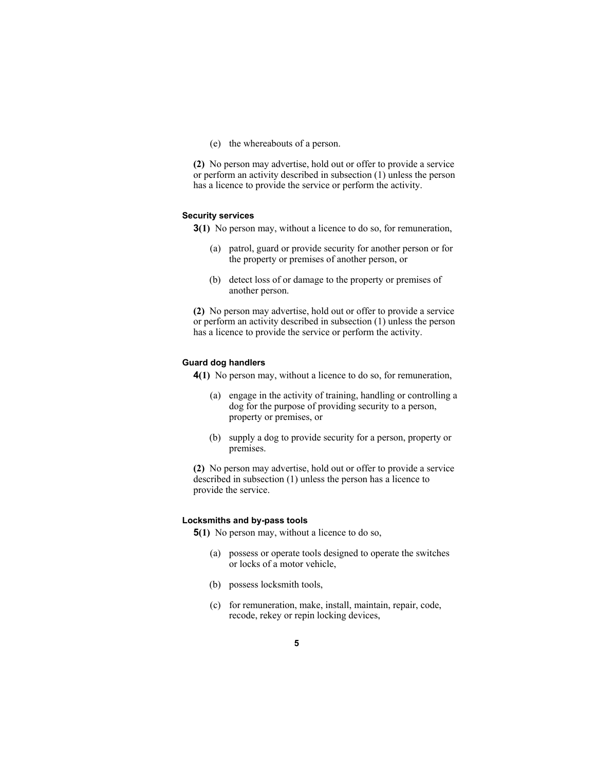(e) the whereabouts of a person.

**(2)** No person may advertise, hold out or offer to provide a service or perform an activity described in subsection (1) unless the person has a licence to provide the service or perform the activity.

#### **Security services**

**3(1)** No person may, without a licence to do so, for remuneration,

- (a) patrol, guard or provide security for another person or for the property or premises of another person, or
- (b) detect loss of or damage to the property or premises of another person.

**(2)** No person may advertise, hold out or offer to provide a service or perform an activity described in subsection (1) unless the person has a licence to provide the service or perform the activity.

#### **Guard dog handlers**

**4(1)** No person may, without a licence to do so, for remuneration,

- (a) engage in the activity of training, handling or controlling a dog for the purpose of providing security to a person, property or premises, or
- (b) supply a dog to provide security for a person, property or premises.

**(2)** No person may advertise, hold out or offer to provide a service described in subsection (1) unless the person has a licence to provide the service.

#### **Locksmiths and by-pass tools**

**5(1)** No person may, without a licence to do so,

- (a) possess or operate tools designed to operate the switches or locks of a motor vehicle,
- (b) possess locksmith tools,
- (c) for remuneration, make, install, maintain, repair, code, recode, rekey or repin locking devices,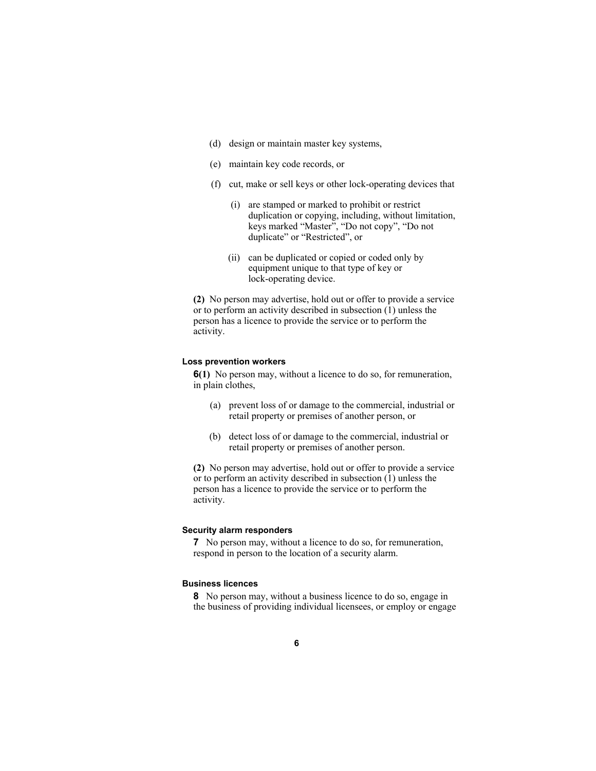- (d) design or maintain master key systems,
- (e) maintain key code records, or
- (f) cut, make or sell keys or other lock-operating devices that
	- (i) are stamped or marked to prohibit or restrict duplication or copying, including, without limitation, keys marked "Master", "Do not copy", "Do not duplicate" or "Restricted", or
	- (ii) can be duplicated or copied or coded only by equipment unique to that type of key or lock-operating device.

**(2)** No person may advertise, hold out or offer to provide a service or to perform an activity described in subsection (1) unless the person has a licence to provide the service or to perform the activity.

#### **Loss prevention workers**

**6(1)** No person may, without a licence to do so, for remuneration, in plain clothes,

- (a) prevent loss of or damage to the commercial, industrial or retail property or premises of another person, or
- (b) detect loss of or damage to the commercial, industrial or retail property or premises of another person.

**(2)** No person may advertise, hold out or offer to provide a service or to perform an activity described in subsection (1) unless the person has a licence to provide the service or to perform the activity.

## **Security alarm responders**

**7** No person may, without a licence to do so, for remuneration, respond in person to the location of a security alarm.

## **Business licences**

**8** No person may, without a business licence to do so, engage in the business of providing individual licensees, or employ or engage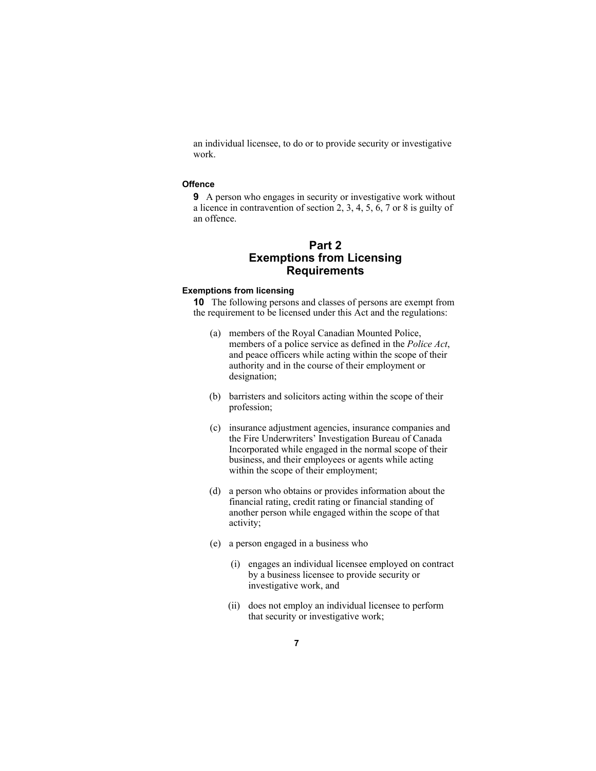an individual licensee, to do or to provide security or investigative work.

#### **Offence**

**9** A person who engages in security or investigative work without a licence in contravention of section 2, 3, 4, 5, 6, 7 or 8 is guilty of an offence.

# **Part 2 Exemptions from Licensing Requirements**

#### **Exemptions from licensing**

**10** The following persons and classes of persons are exempt from the requirement to be licensed under this Act and the regulations:

- (a) members of the Royal Canadian Mounted Police, members of a police service as defined in the *Police Act*, and peace officers while acting within the scope of their authority and in the course of their employment or designation;
- (b) barristers and solicitors acting within the scope of their profession;
- (c) insurance adjustment agencies, insurance companies and the Fire Underwriters' Investigation Bureau of Canada Incorporated while engaged in the normal scope of their business, and their employees or agents while acting within the scope of their employment;
- (d) a person who obtains or provides information about the financial rating, credit rating or financial standing of another person while engaged within the scope of that activity;
- (e) a person engaged in a business who
	- (i) engages an individual licensee employed on contract by a business licensee to provide security or investigative work, and
	- (ii) does not employ an individual licensee to perform that security or investigative work;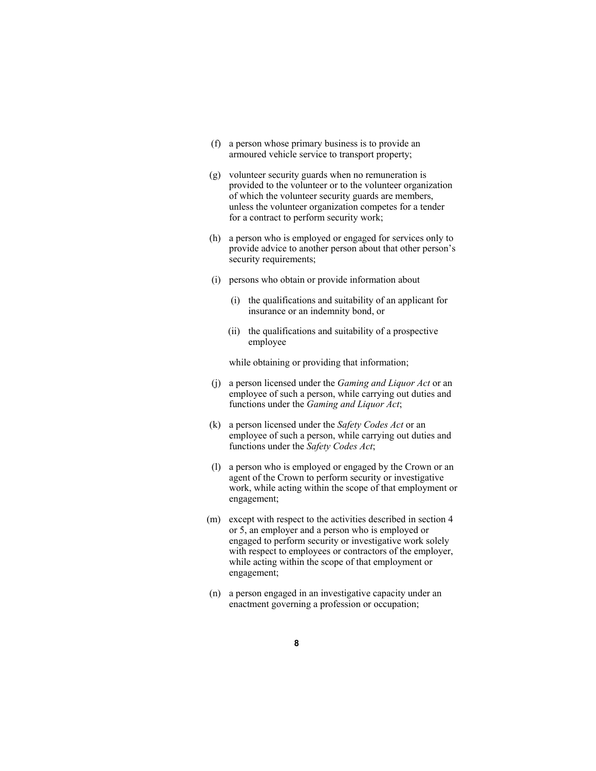- (f) a person whose primary business is to provide an armoured vehicle service to transport property;
- (g) volunteer security guards when no remuneration is provided to the volunteer or to the volunteer organization of which the volunteer security guards are members, unless the volunteer organization competes for a tender for a contract to perform security work;
- (h) a person who is employed or engaged for services only to provide advice to another person about that other person's security requirements;
- (i) persons who obtain or provide information about
	- (i) the qualifications and suitability of an applicant for insurance or an indemnity bond, or
	- (ii) the qualifications and suitability of a prospective employee

while obtaining or providing that information;

- (j) a person licensed under the *Gaming and Liquor Act* or an employee of such a person, while carrying out duties and functions under the *Gaming and Liquor Act*;
- (k) a person licensed under the *Safety Codes Act* or an employee of such a person, while carrying out duties and functions under the *Safety Codes Act*;
- (l) a person who is employed or engaged by the Crown or an agent of the Crown to perform security or investigative work, while acting within the scope of that employment or engagement;
- (m) except with respect to the activities described in section 4 or 5, an employer and a person who is employed or engaged to perform security or investigative work solely with respect to employees or contractors of the employer, while acting within the scope of that employment or engagement;
- (n) a person engaged in an investigative capacity under an enactment governing a profession or occupation;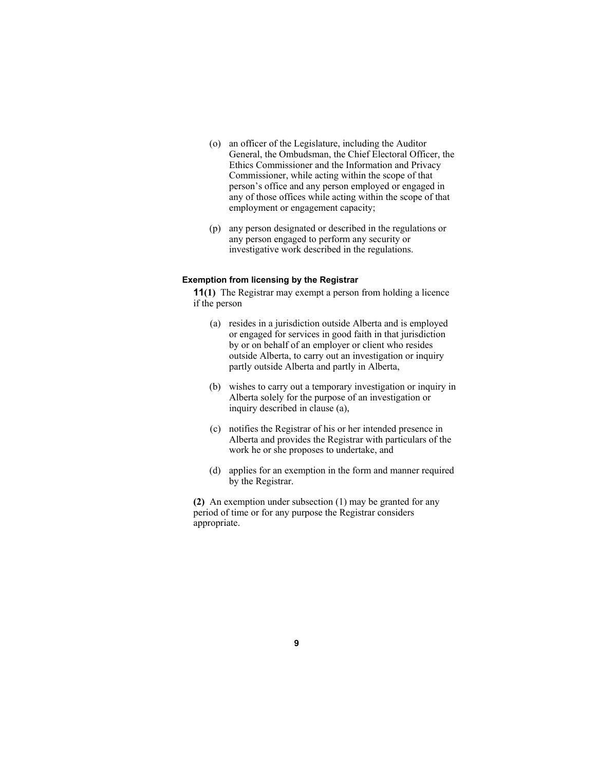- (o) an officer of the Legislature, including the Auditor General, the Ombudsman, the Chief Electoral Officer, the Ethics Commissioner and the Information and Privacy Commissioner, while acting within the scope of that person's office and any person employed or engaged in any of those offices while acting within the scope of that employment or engagement capacity;
- (p) any person designated or described in the regulations or any person engaged to perform any security or investigative work described in the regulations.

#### **Exemption from licensing by the Registrar**

**11(1)** The Registrar may exempt a person from holding a licence if the person

- (a) resides in a jurisdiction outside Alberta and is employed or engaged for services in good faith in that jurisdiction by or on behalf of an employer or client who resides outside Alberta, to carry out an investigation or inquiry partly outside Alberta and partly in Alberta,
- (b) wishes to carry out a temporary investigation or inquiry in Alberta solely for the purpose of an investigation or inquiry described in clause (a),
- (c) notifies the Registrar of his or her intended presence in Alberta and provides the Registrar with particulars of the work he or she proposes to undertake, and
- (d) applies for an exemption in the form and manner required by the Registrar.

**(2)** An exemption under subsection (1) may be granted for any period of time or for any purpose the Registrar considers appropriate.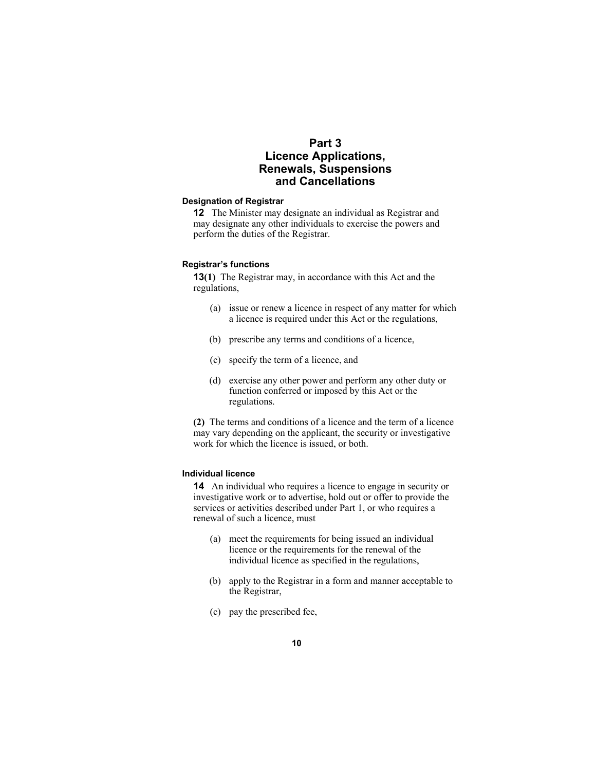# **Part 3 Licence Applications, Renewals, Suspensions and Cancellations**

#### **Designation of Registrar**

**12** The Minister may designate an individual as Registrar and may designate any other individuals to exercise the powers and perform the duties of the Registrar.

#### **Registrar's functions**

**13(1)** The Registrar may, in accordance with this Act and the regulations,

- (a) issue or renew a licence in respect of any matter for which a licence is required under this Act or the regulations,
- (b) prescribe any terms and conditions of a licence,
- (c) specify the term of a licence, and
- (d) exercise any other power and perform any other duty or function conferred or imposed by this Act or the regulations.

**(2)** The terms and conditions of a licence and the term of a licence may vary depending on the applicant, the security or investigative work for which the licence is issued, or both.

#### **Individual licence**

**14** An individual who requires a licence to engage in security or investigative work or to advertise, hold out or offer to provide the services or activities described under Part 1, or who requires a renewal of such a licence, must

- (a) meet the requirements for being issued an individual licence or the requirements for the renewal of the individual licence as specified in the regulations,
- (b) apply to the Registrar in a form and manner acceptable to the Registrar,
- (c) pay the prescribed fee,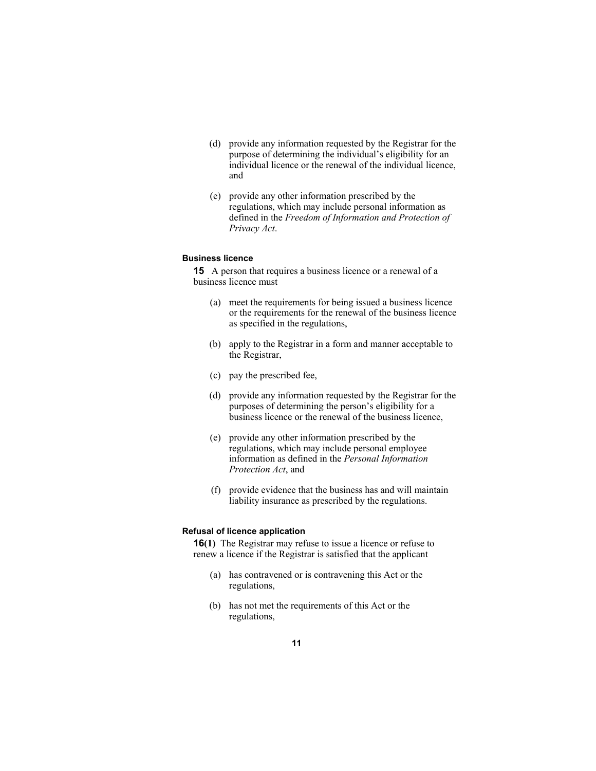- (d) provide any information requested by the Registrar for the purpose of determining the individual's eligibility for an individual licence or the renewal of the individual licence, and
- (e) provide any other information prescribed by the regulations, which may include personal information as defined in the *Freedom of Information and Protection of Privacy Act*.

## **Business licence**

**15** A person that requires a business licence or a renewal of a business licence must

- (a) meet the requirements for being issued a business licence or the requirements for the renewal of the business licence as specified in the regulations,
- (b) apply to the Registrar in a form and manner acceptable to the Registrar,
- (c) pay the prescribed fee,
- (d) provide any information requested by the Registrar for the purposes of determining the person's eligibility for a business licence or the renewal of the business licence,
- (e) provide any other information prescribed by the regulations, which may include personal employee information as defined in the *Personal Information Protection Act*, and
- (f) provide evidence that the business has and will maintain liability insurance as prescribed by the regulations.

#### **Refusal of licence application**

**16(1)** The Registrar may refuse to issue a licence or refuse to renew a licence if the Registrar is satisfied that the applicant

- (a) has contravened or is contravening this Act or the regulations,
- (b) has not met the requirements of this Act or the regulations,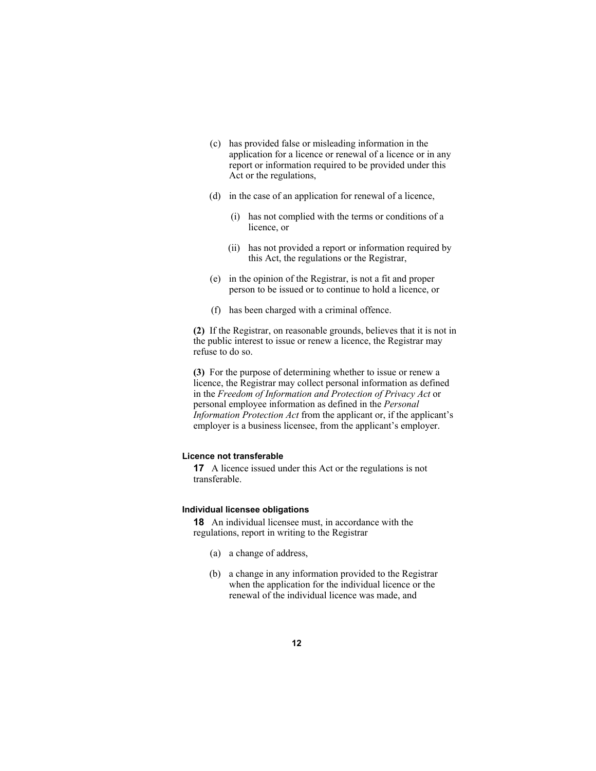- (c) has provided false or misleading information in the application for a licence or renewal of a licence or in any report or information required to be provided under this Act or the regulations,
- (d) in the case of an application for renewal of a licence,
	- (i) has not complied with the terms or conditions of a licence, or
	- (ii) has not provided a report or information required by this Act, the regulations or the Registrar,
- (e) in the opinion of the Registrar, is not a fit and proper person to be issued or to continue to hold a licence, or
- (f) has been charged with a criminal offence.

**(2)** If the Registrar, on reasonable grounds, believes that it is not in the public interest to issue or renew a licence, the Registrar may refuse to do so.

**(3)** For the purpose of determining whether to issue or renew a licence, the Registrar may collect personal information as defined in the *Freedom of Information and Protection of Privacy Act* or personal employee information as defined in the *Personal Information Protection Act* from the applicant or, if the applicant's employer is a business licensee, from the applicant's employer.

#### **Licence not transferable**

**17** A licence issued under this Act or the regulations is not transferable.

#### **Individual licensee obligations**

**18** An individual licensee must, in accordance with the regulations, report in writing to the Registrar

- (a) a change of address,
- (b) a change in any information provided to the Registrar when the application for the individual licence or the renewal of the individual licence was made, and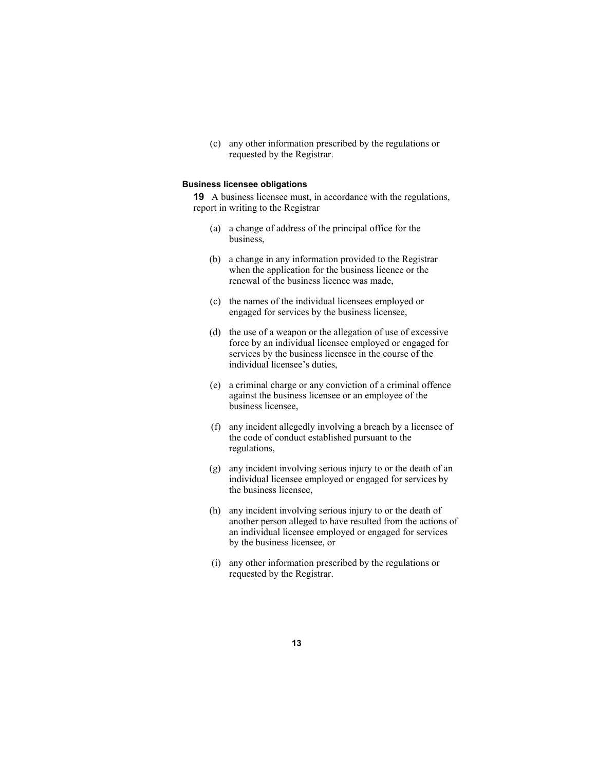(c) any other information prescribed by the regulations or requested by the Registrar.

#### **Business licensee obligations**

**19** A business licensee must, in accordance with the regulations, report in writing to the Registrar

- (a) a change of address of the principal office for the business,
- (b) a change in any information provided to the Registrar when the application for the business licence or the renewal of the business licence was made,
- (c) the names of the individual licensees employed or engaged for services by the business licensee,
- (d) the use of a weapon or the allegation of use of excessive force by an individual licensee employed or engaged for services by the business licensee in the course of the individual licensee's duties,
- (e) a criminal charge or any conviction of a criminal offence against the business licensee or an employee of the business licensee,
- (f) any incident allegedly involving a breach by a licensee of the code of conduct established pursuant to the regulations,
- (g) any incident involving serious injury to or the death of an individual licensee employed or engaged for services by the business licensee,
- (h) any incident involving serious injury to or the death of another person alleged to have resulted from the actions of an individual licensee employed or engaged for services by the business licensee, or
- (i) any other information prescribed by the regulations or requested by the Registrar.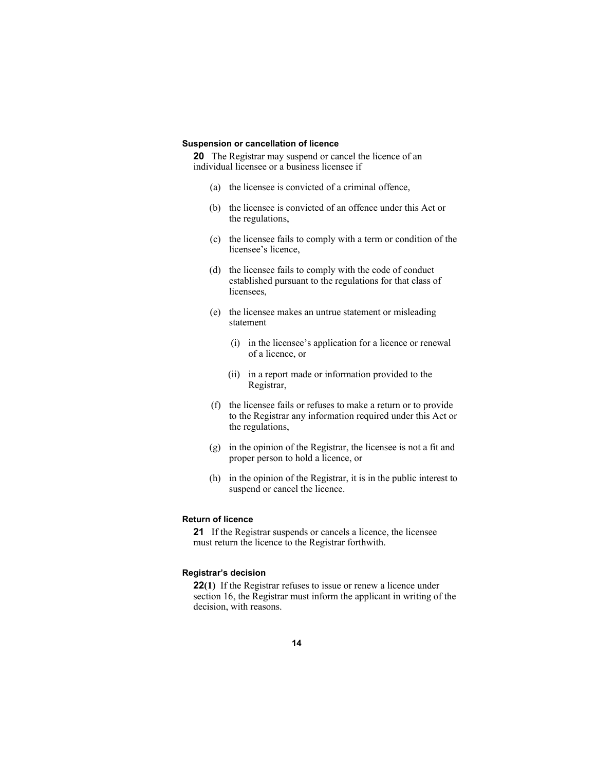#### **Suspension or cancellation of licence**

**20** The Registrar may suspend or cancel the licence of an individual licensee or a business licensee if

- (a) the licensee is convicted of a criminal offence,
- (b) the licensee is convicted of an offence under this Act or the regulations,
- (c) the licensee fails to comply with a term or condition of the licensee's licence,
- (d) the licensee fails to comply with the code of conduct established pursuant to the regulations for that class of licensees,
- (e) the licensee makes an untrue statement or misleading statement
	- (i) in the licensee's application for a licence or renewal of a licence, or
	- (ii) in a report made or information provided to the Registrar,
- (f) the licensee fails or refuses to make a return or to provide to the Registrar any information required under this Act or the regulations,
- (g) in the opinion of the Registrar, the licensee is not a fit and proper person to hold a licence, or
- (h) in the opinion of the Registrar, it is in the public interest to suspend or cancel the licence.

## **Return of licence**

**21** If the Registrar suspends or cancels a licence, the licensee must return the licence to the Registrar forthwith.

#### **Registrar's decision**

**22(1)** If the Registrar refuses to issue or renew a licence under section 16, the Registrar must inform the applicant in writing of the decision, with reasons.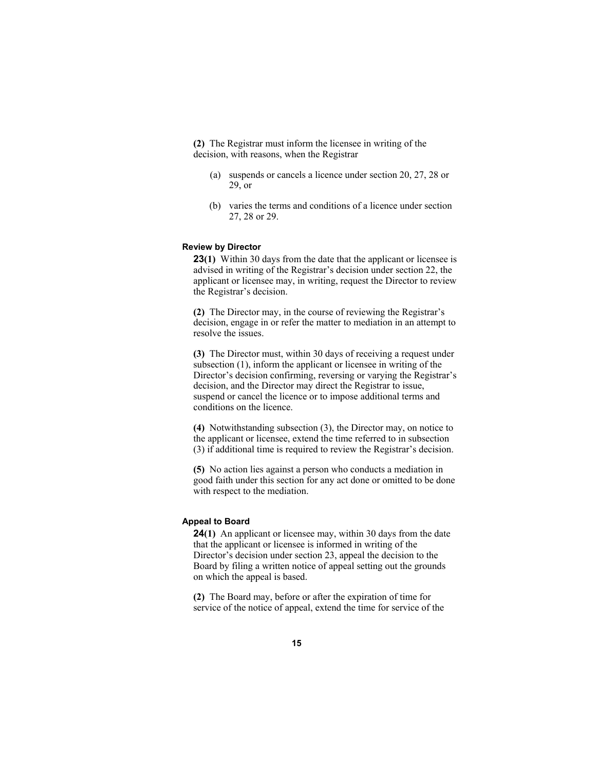**(2)** The Registrar must inform the licensee in writing of the decision, with reasons, when the Registrar

- (a) suspends or cancels a licence under section 20, 27, 28 or 29, or
- (b) varies the terms and conditions of a licence under section 27, 28 or 29.

#### **Review by Director**

**23(1)** Within 30 days from the date that the applicant or licensee is advised in writing of the Registrar's decision under section 22, the applicant or licensee may, in writing, request the Director to review the Registrar's decision.

**(2)** The Director may, in the course of reviewing the Registrar's decision, engage in or refer the matter to mediation in an attempt to resolve the issues.

**(3)** The Director must, within 30 days of receiving a request under subsection (1), inform the applicant or licensee in writing of the Director's decision confirming, reversing or varying the Registrar's decision, and the Director may direct the Registrar to issue, suspend or cancel the licence or to impose additional terms and conditions on the licence.

**(4)** Notwithstanding subsection (3), the Director may, on notice to the applicant or licensee, extend the time referred to in subsection (3) if additional time is required to review the Registrar's decision.

**(5)** No action lies against a person who conducts a mediation in good faith under this section for any act done or omitted to be done with respect to the mediation.

#### **Appeal to Board**

**24(1)** An applicant or licensee may, within 30 days from the date that the applicant or licensee is informed in writing of the Director's decision under section 23, appeal the decision to the Board by filing a written notice of appeal setting out the grounds on which the appeal is based.

**(2)** The Board may, before or after the expiration of time for service of the notice of appeal, extend the time for service of the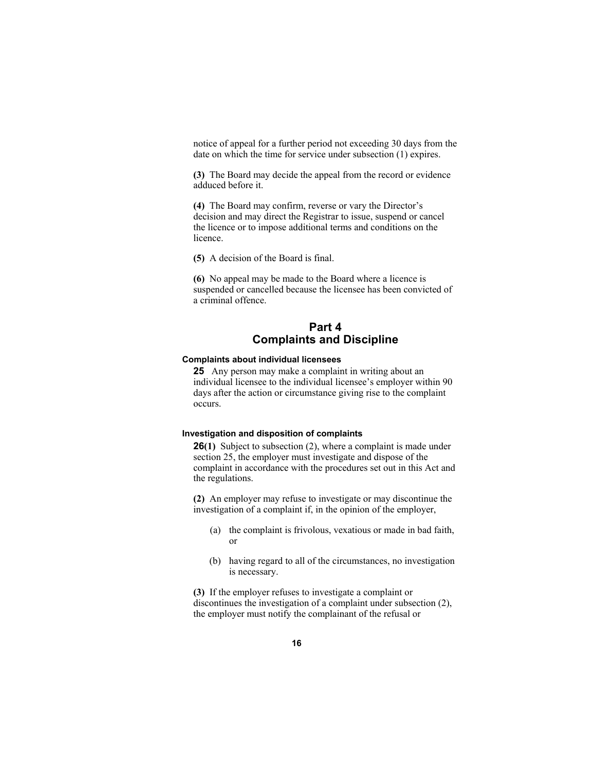notice of appeal for a further period not exceeding 30 days from the date on which the time for service under subsection (1) expires.

**(3)** The Board may decide the appeal from the record or evidence adduced before it.

**(4)** The Board may confirm, reverse or vary the Director's decision and may direct the Registrar to issue, suspend or cancel the licence or to impose additional terms and conditions on the licence.

**(5)** A decision of the Board is final.

**(6)** No appeal may be made to the Board where a licence is suspended or cancelled because the licensee has been convicted of a criminal offence.

# **Part 4 Complaints and Discipline**

#### **Complaints about individual licensees**

**25** Any person may make a complaint in writing about an individual licensee to the individual licensee's employer within 90 days after the action or circumstance giving rise to the complaint occurs.

## **Investigation and disposition of complaints**

**26(1)** Subject to subsection (2), where a complaint is made under section 25, the employer must investigate and dispose of the complaint in accordance with the procedures set out in this Act and the regulations.

**(2)** An employer may refuse to investigate or may discontinue the investigation of a complaint if, in the opinion of the employer,

- (a) the complaint is frivolous, vexatious or made in bad faith, or
- (b) having regard to all of the circumstances, no investigation is necessary.

**(3)** If the employer refuses to investigate a complaint or discontinues the investigation of a complaint under subsection (2), the employer must notify the complainant of the refusal or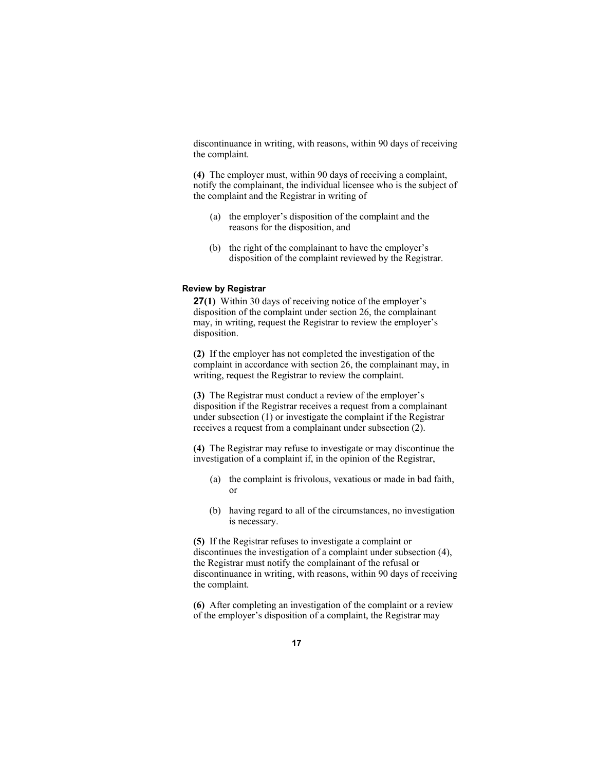discontinuance in writing, with reasons, within 90 days of receiving the complaint.

**(4)** The employer must, within 90 days of receiving a complaint, notify the complainant, the individual licensee who is the subject of the complaint and the Registrar in writing of

- (a) the employer's disposition of the complaint and the reasons for the disposition, and
- (b) the right of the complainant to have the employer's disposition of the complaint reviewed by the Registrar.

## **Review by Registrar**

**27(1)** Within 30 days of receiving notice of the employer's disposition of the complaint under section 26, the complainant may, in writing, request the Registrar to review the employer's disposition.

**(2)** If the employer has not completed the investigation of the complaint in accordance with section 26, the complainant may, in writing, request the Registrar to review the complaint.

**(3)** The Registrar must conduct a review of the employer's disposition if the Registrar receives a request from a complainant under subsection (1) or investigate the complaint if the Registrar receives a request from a complainant under subsection (2).

**(4)** The Registrar may refuse to investigate or may discontinue the investigation of a complaint if, in the opinion of the Registrar,

- (a) the complaint is frivolous, vexatious or made in bad faith, or
- (b) having regard to all of the circumstances, no investigation is necessary.

**(5)** If the Registrar refuses to investigate a complaint or discontinues the investigation of a complaint under subsection (4), the Registrar must notify the complainant of the refusal or discontinuance in writing, with reasons, within 90 days of receiving the complaint.

**(6)** After completing an investigation of the complaint or a review of the employer's disposition of a complaint, the Registrar may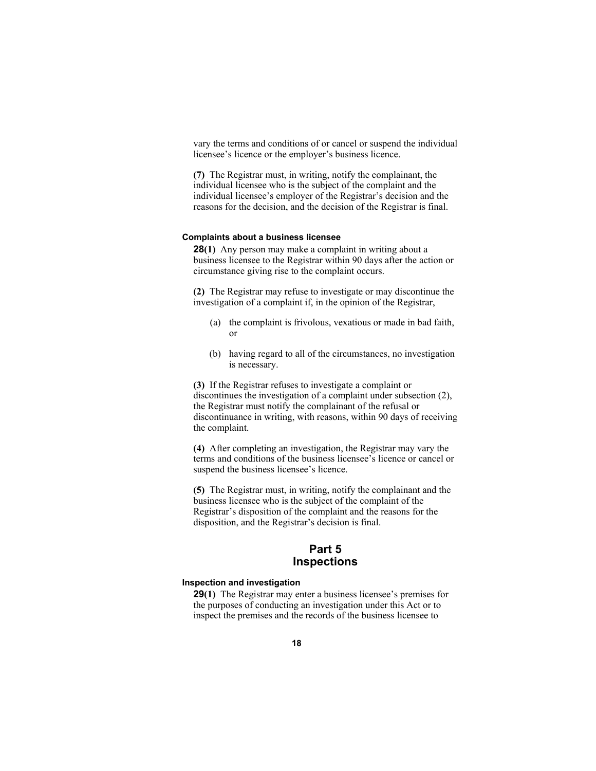vary the terms and conditions of or cancel or suspend the individual licensee's licence or the employer's business licence.

**(7)** The Registrar must, in writing, notify the complainant, the individual licensee who is the subject of the complaint and the individual licensee's employer of the Registrar's decision and the reasons for the decision, and the decision of the Registrar is final.

#### **Complaints about a business licensee**

**28(1)** Any person may make a complaint in writing about a business licensee to the Registrar within 90 days after the action or circumstance giving rise to the complaint occurs.

**(2)** The Registrar may refuse to investigate or may discontinue the investigation of a complaint if, in the opinion of the Registrar,

- (a) the complaint is frivolous, vexatious or made in bad faith, or
- (b) having regard to all of the circumstances, no investigation is necessary.

**(3)** If the Registrar refuses to investigate a complaint or discontinues the investigation of a complaint under subsection (2), the Registrar must notify the complainant of the refusal or discontinuance in writing, with reasons, within 90 days of receiving the complaint.

**(4)** After completing an investigation, the Registrar may vary the terms and conditions of the business licensee's licence or cancel or suspend the business licensee's licence.

**(5)** The Registrar must, in writing, notify the complainant and the business licensee who is the subject of the complaint of the Registrar's disposition of the complaint and the reasons for the disposition, and the Registrar's decision is final.

## **Part 5 Inspections**

#### **Inspection and investigation**

**29(1)** The Registrar may enter a business licensee's premises for the purposes of conducting an investigation under this Act or to inspect the premises and the records of the business licensee to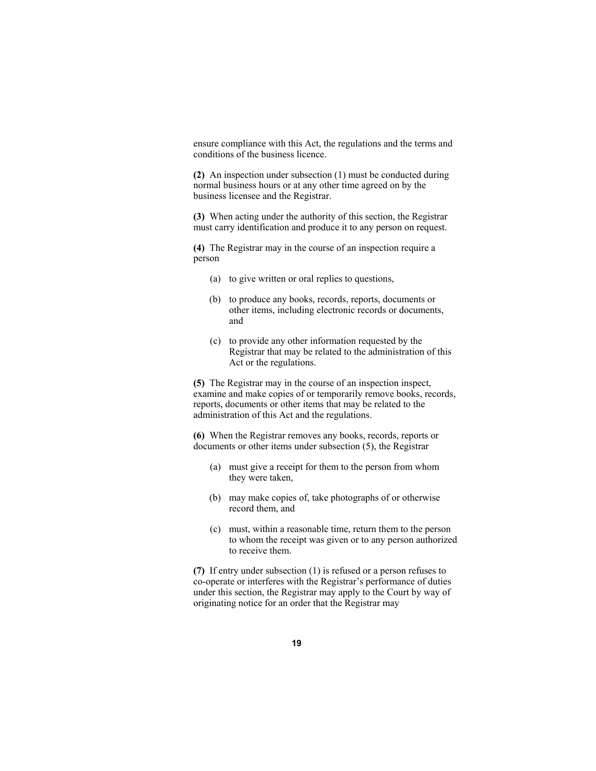ensure compliance with this Act, the regulations and the terms and conditions of the business licence.

**(2)** An inspection under subsection (1) must be conducted during normal business hours or at any other time agreed on by the business licensee and the Registrar.

**(3)** When acting under the authority of this section, the Registrar must carry identification and produce it to any person on request.

**(4)** The Registrar may in the course of an inspection require a person

- (a) to give written or oral replies to questions,
- (b) to produce any books, records, reports, documents or other items, including electronic records or documents, and
- (c) to provide any other information requested by the Registrar that may be related to the administration of this Act or the regulations.

**(5)** The Registrar may in the course of an inspection inspect, examine and make copies of or temporarily remove books, records, reports, documents or other items that may be related to the administration of this Act and the regulations.

**(6)** When the Registrar removes any books, records, reports or documents or other items under subsection (5), the Registrar

- (a) must give a receipt for them to the person from whom they were taken,
- (b) may make copies of, take photographs of or otherwise record them, and
- (c) must, within a reasonable time, return them to the person to whom the receipt was given or to any person authorized to receive them.

**(7)** If entry under subsection (1) is refused or a person refuses to co-operate or interferes with the Registrar's performance of duties under this section, the Registrar may apply to the Court by way of originating notice for an order that the Registrar may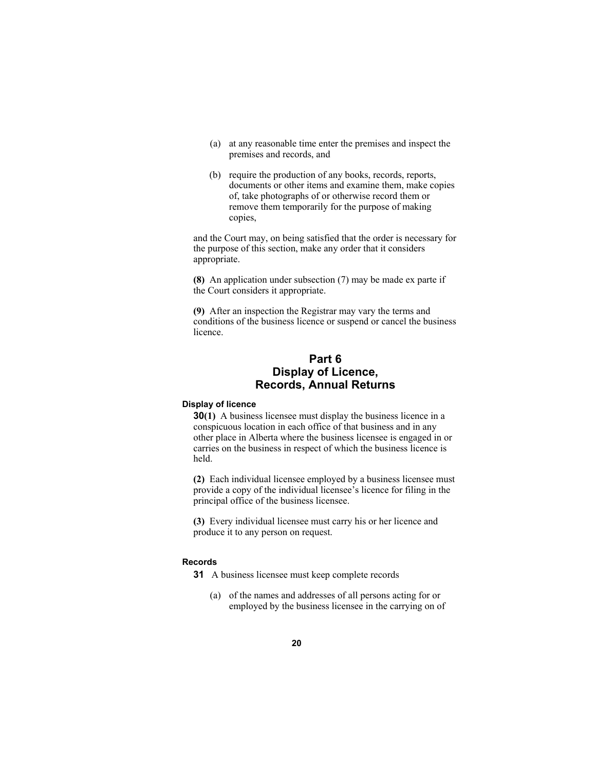- (a) at any reasonable time enter the premises and inspect the premises and records, and
- (b) require the production of any books, records, reports, documents or other items and examine them, make copies of, take photographs of or otherwise record them or remove them temporarily for the purpose of making copies,

and the Court may, on being satisfied that the order is necessary for the purpose of this section, make any order that it considers appropriate.

**(8)** An application under subsection (7) may be made ex parte if the Court considers it appropriate.

**(9)** After an inspection the Registrar may vary the terms and conditions of the business licence or suspend or cancel the business licence.

# **Part 6 Display of Licence, Records, Annual Returns**

#### **Display of licence**

**30(1)** A business licensee must display the business licence in a conspicuous location in each office of that business and in any other place in Alberta where the business licensee is engaged in or carries on the business in respect of which the business licence is held.

**(2)** Each individual licensee employed by a business licensee must provide a copy of the individual licensee's licence for filing in the principal office of the business licensee.

**(3)** Every individual licensee must carry his or her licence and produce it to any person on request.

#### **Records**

**31** A business licensee must keep complete records

(a) of the names and addresses of all persons acting for or employed by the business licensee in the carrying on of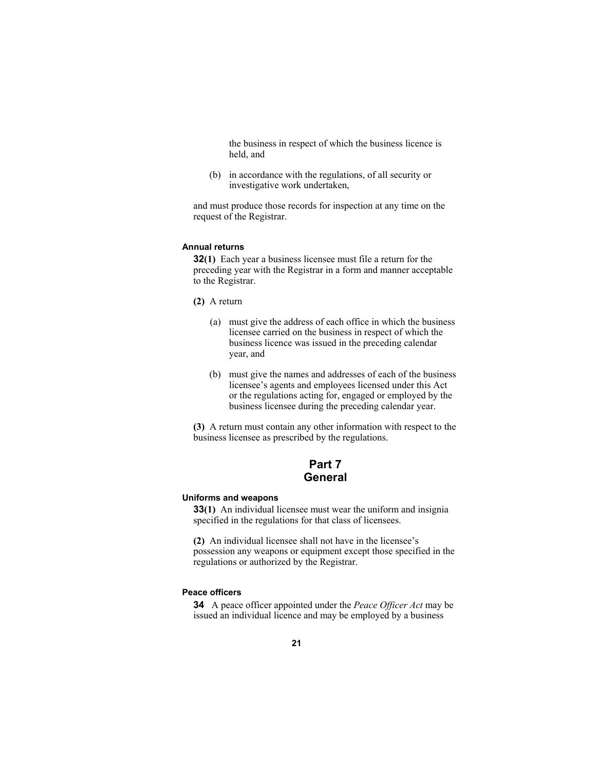the business in respect of which the business licence is held, and

(b) in accordance with the regulations, of all security or investigative work undertaken,

and must produce those records for inspection at any time on the request of the Registrar.

#### **Annual returns**

**32(1)** Each year a business licensee must file a return for the preceding year with the Registrar in a form and manner acceptable to the Registrar.

- **(2)** A return
	- (a) must give the address of each office in which the business licensee carried on the business in respect of which the business licence was issued in the preceding calendar year, and
	- (b) must give the names and addresses of each of the business licensee's agents and employees licensed under this Act or the regulations acting for, engaged or employed by the business licensee during the preceding calendar year.

**(3)** A return must contain any other information with respect to the business licensee as prescribed by the regulations.

# **Part 7 General**

#### **Uniforms and weapons**

**33(1)** An individual licensee must wear the uniform and insignia specified in the regulations for that class of licensees.

**(2)** An individual licensee shall not have in the licensee's possession any weapons or equipment except those specified in the regulations or authorized by the Registrar.

#### **Peace officers**

**34** A peace officer appointed under the *Peace Officer Act* may be issued an individual licence and may be employed by a business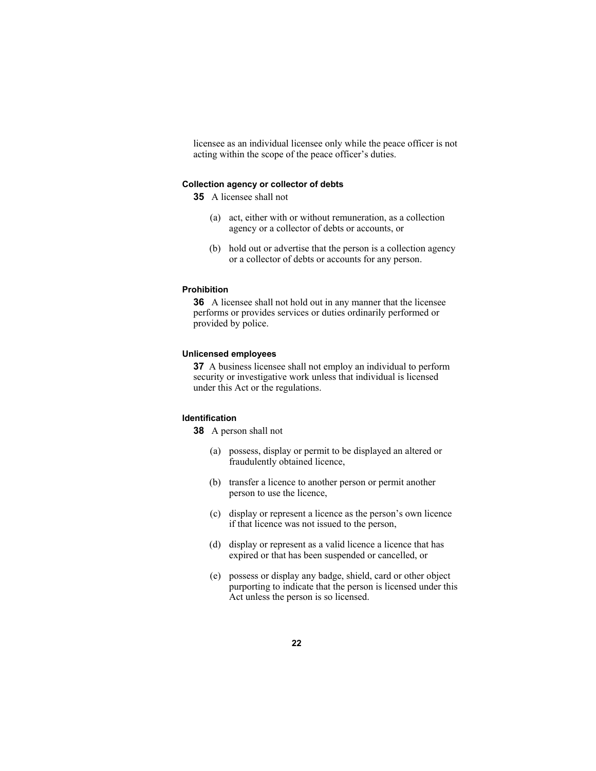licensee as an individual licensee only while the peace officer is not acting within the scope of the peace officer's duties.

#### **Collection agency or collector of debts**

**35** A licensee shall not

- (a) act, either with or without remuneration, as a collection agency or a collector of debts or accounts, or
- (b) hold out or advertise that the person is a collection agency or a collector of debts or accounts for any person.

#### **Prohibition**

**36** A licensee shall not hold out in any manner that the licensee performs or provides services or duties ordinarily performed or provided by police.

#### **Unlicensed employees**

**37** A business licensee shall not employ an individual to perform security or investigative work unless that individual is licensed under this Act or the regulations.

#### **Identification**

**38** A person shall not

- (a) possess, display or permit to be displayed an altered or fraudulently obtained licence,
- (b) transfer a licence to another person or permit another person to use the licence,
- (c) display or represent a licence as the person's own licence if that licence was not issued to the person,
- (d) display or represent as a valid licence a licence that has expired or that has been suspended or cancelled, or
- (e) possess or display any badge, shield, card or other object purporting to indicate that the person is licensed under this Act unless the person is so licensed.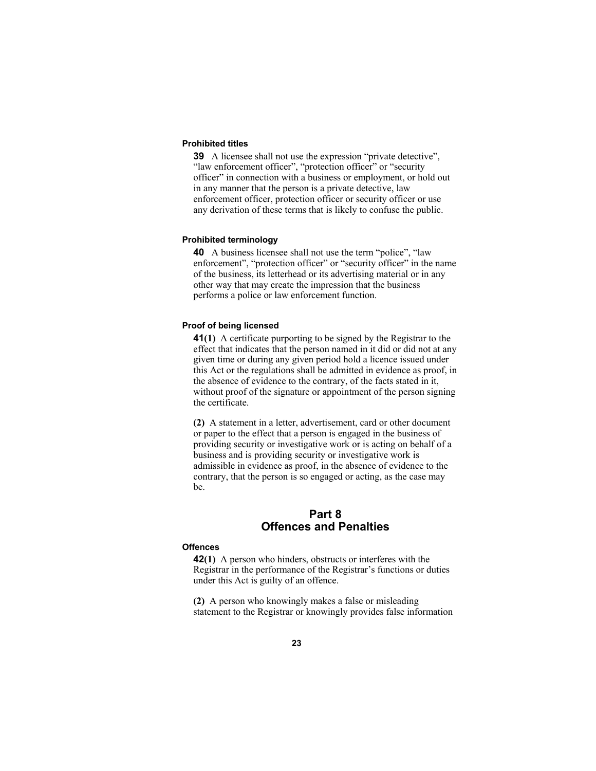#### **Prohibited titles**

**39** A licensee shall not use the expression "private detective", "law enforcement officer", "protection officer" or "security officer" in connection with a business or employment, or hold out in any manner that the person is a private detective, law enforcement officer, protection officer or security officer or use any derivation of these terms that is likely to confuse the public.

#### **Prohibited terminology**

**40** A business licensee shall not use the term "police", "law enforcement", "protection officer" or "security officer" in the name of the business, its letterhead or its advertising material or in any other way that may create the impression that the business performs a police or law enforcement function.

#### **Proof of being licensed**

**41(1)** A certificate purporting to be signed by the Registrar to the effect that indicates that the person named in it did or did not at any given time or during any given period hold a licence issued under this Act or the regulations shall be admitted in evidence as proof, in the absence of evidence to the contrary, of the facts stated in it, without proof of the signature or appointment of the person signing the certificate.

**(2)** A statement in a letter, advertisement, card or other document or paper to the effect that a person is engaged in the business of providing security or investigative work or is acting on behalf of a business and is providing security or investigative work is admissible in evidence as proof, in the absence of evidence to the contrary, that the person is so engaged or acting, as the case may be.

# **Part 8 Offences and Penalties**

#### **Offences**

**42(1)** A person who hinders, obstructs or interferes with the Registrar in the performance of the Registrar's functions or duties under this Act is guilty of an offence.

**(2)** A person who knowingly makes a false or misleading statement to the Registrar or knowingly provides false information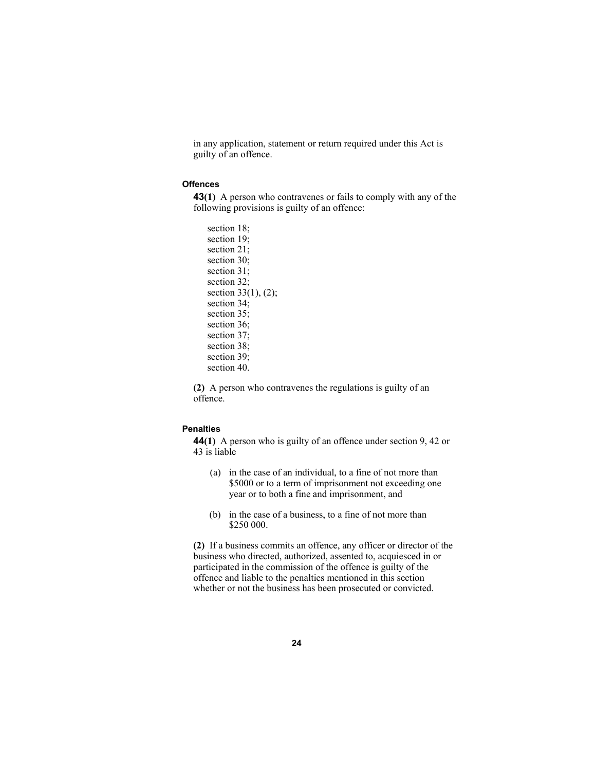in any application, statement or return required under this Act is guilty of an offence.

#### **Offences**

**43(1)** A person who contravenes or fails to comply with any of the following provisions is guilty of an offence:

section 18; section 19; section 21; section 30; section 31; section 32; section 33(1), (2); section 34; section 35: section 36; section 37; section 38; section 39; section 40.

**(2)** A person who contravenes the regulations is guilty of an offence.

### **Penalties**

**44(1)** A person who is guilty of an offence under section 9, 42 or 43 is liable

- (a) in the case of an individual, to a fine of not more than \$5000 or to a term of imprisonment not exceeding one year or to both a fine and imprisonment, and
- (b) in the case of a business, to a fine of not more than \$250 000.

**(2)** If a business commits an offence, any officer or director of the business who directed, authorized, assented to, acquiesced in or participated in the commission of the offence is guilty of the offence and liable to the penalties mentioned in this section whether or not the business has been prosecuted or convicted.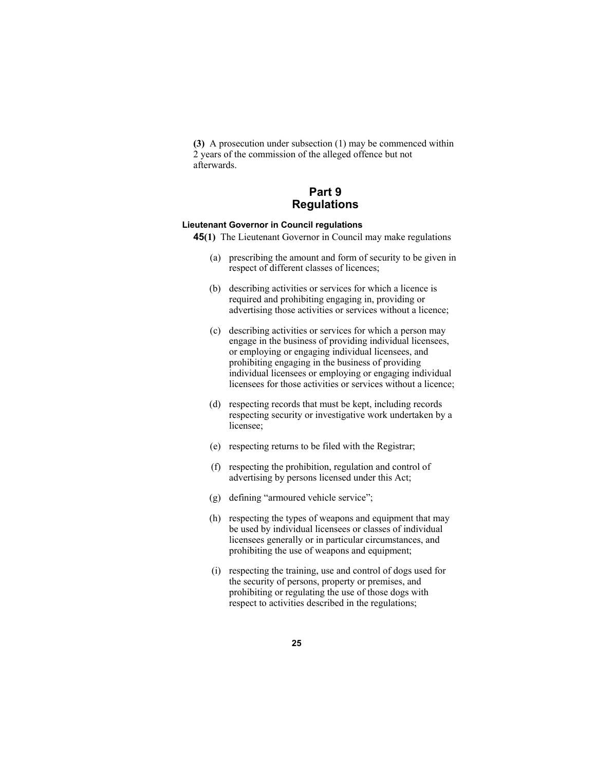**(3)** A prosecution under subsection (1) may be commenced within 2 years of the commission of the alleged offence but not afterwards.

# **Part 9 Regulations**

#### **Lieutenant Governor in Council regulations**

- **45(1)** The Lieutenant Governor in Council may make regulations
	- (a) prescribing the amount and form of security to be given in respect of different classes of licences;
	- (b) describing activities or services for which a licence is required and prohibiting engaging in, providing or advertising those activities or services without a licence;
	- (c) describing activities or services for which a person may engage in the business of providing individual licensees, or employing or engaging individual licensees, and prohibiting engaging in the business of providing individual licensees or employing or engaging individual licensees for those activities or services without a licence;
	- (d) respecting records that must be kept, including records respecting security or investigative work undertaken by a licensee;
	- (e) respecting returns to be filed with the Registrar;
	- (f) respecting the prohibition, regulation and control of advertising by persons licensed under this Act;
	- (g) defining "armoured vehicle service";
	- (h) respecting the types of weapons and equipment that may be used by individual licensees or classes of individual licensees generally or in particular circumstances, and prohibiting the use of weapons and equipment;
	- (i) respecting the training, use and control of dogs used for the security of persons, property or premises, and prohibiting or regulating the use of those dogs with respect to activities described in the regulations;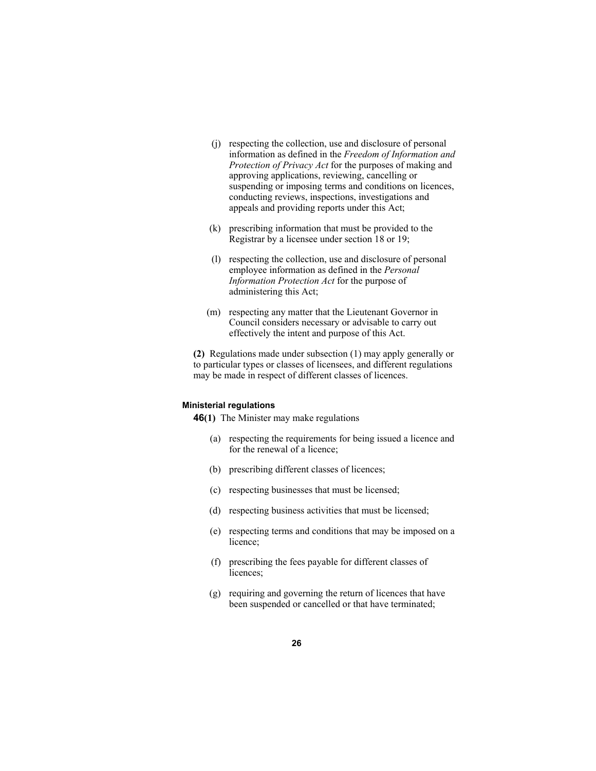- (j) respecting the collection, use and disclosure of personal information as defined in the *Freedom of Information and Protection of Privacy Act* for the purposes of making and approving applications, reviewing, cancelling or suspending or imposing terms and conditions on licences, conducting reviews, inspections, investigations and appeals and providing reports under this Act;
- (k) prescribing information that must be provided to the Registrar by a licensee under section 18 or 19;
- (l) respecting the collection, use and disclosure of personal employee information as defined in the *Personal Information Protection Act* for the purpose of administering this Act;
- (m) respecting any matter that the Lieutenant Governor in Council considers necessary or advisable to carry out effectively the intent and purpose of this Act.

**(2)** Regulations made under subsection (1) may apply generally or to particular types or classes of licensees, and different regulations may be made in respect of different classes of licences.

#### **Ministerial regulations**

**46(1)** The Minister may make regulations

- (a) respecting the requirements for being issued a licence and for the renewal of a licence;
- (b) prescribing different classes of licences;
- (c) respecting businesses that must be licensed;
- (d) respecting business activities that must be licensed;
- (e) respecting terms and conditions that may be imposed on a licence;
- (f) prescribing the fees payable for different classes of licences;
- (g) requiring and governing the return of licences that have been suspended or cancelled or that have terminated;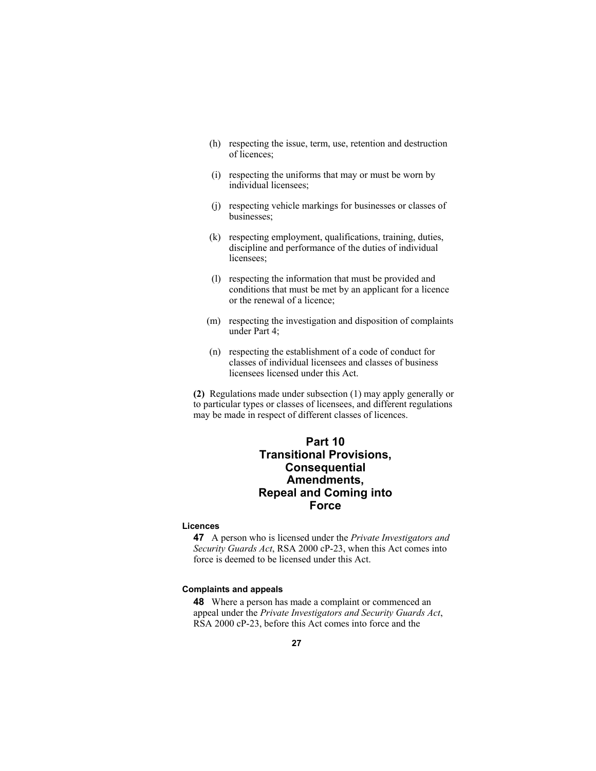- (h) respecting the issue, term, use, retention and destruction of licences;
- (i) respecting the uniforms that may or must be worn by individual licensees;
- (j) respecting vehicle markings for businesses or classes of businesses;
- (k) respecting employment, qualifications, training, duties, discipline and performance of the duties of individual licensees;
- (l) respecting the information that must be provided and conditions that must be met by an applicant for a licence or the renewal of a licence;
- (m) respecting the investigation and disposition of complaints under Part 4;
- (n) respecting the establishment of a code of conduct for classes of individual licensees and classes of business licensees licensed under this Act.

**(2)** Regulations made under subsection (1) may apply generally or to particular types or classes of licensees, and different regulations may be made in respect of different classes of licences.

# **Part 10 Transitional Provisions, Consequential Amendments, Repeal and Coming into Force**

#### **Licences**

**47** A person who is licensed under the *Private Investigators and Security Guards Act*, RSA 2000 cP-23, when this Act comes into force is deemed to be licensed under this Act.

## **Complaints and appeals**

**48** Where a person has made a complaint or commenced an appeal under the *Private Investigators and Security Guards Act*, RSA 2000 cP-23, before this Act comes into force and the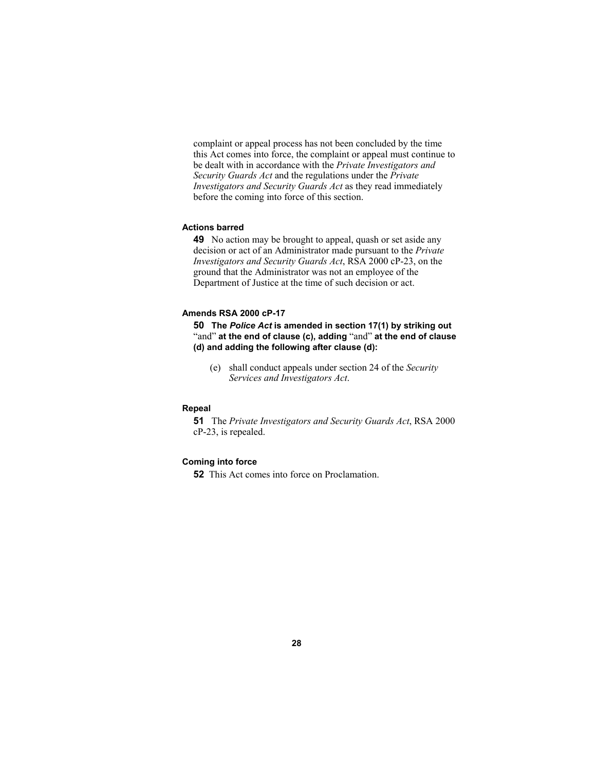complaint or appeal process has not been concluded by the time this Act comes into force, the complaint or appeal must continue to be dealt with in accordance with the *Private Investigators and Security Guards Act* and the regulations under the *Private Investigators and Security Guards Act* as they read immediately before the coming into force of this section.

#### **Actions barred**

**49** No action may be brought to appeal, quash or set aside any decision or act of an Administrator made pursuant to the *Private Investigators and Security Guards Act*, RSA 2000 cP-23, on the ground that the Administrator was not an employee of the Department of Justice at the time of such decision or act.

#### **Amends RSA 2000 cP-17**

**50 The** *Police Act* **is amended in section 17(1) by striking out**  "and" **at the end of clause (c), adding** "and" **at the end of clause (d) and adding the following after clause (d):**

(e) shall conduct appeals under section 24 of the *Security Services and Investigators Act*.

#### **Repeal**

**51** The *Private Investigators and Security Guards Act*, RSA 2000 cP-23, is repealed.

#### **Coming into force**

**52** This Act comes into force on Proclamation.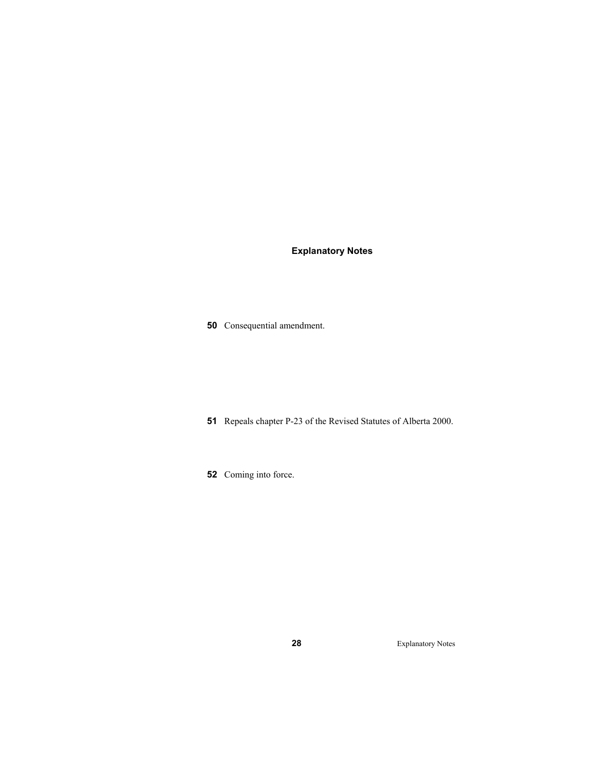# **Explanatory Notes**

Consequential amendment.

- Repeals chapter P-23 of the Revised Statutes of Alberta 2000.
- Coming into force.

Explanatory Notes